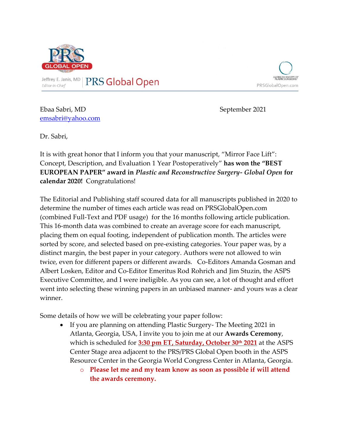

Jeffrey E. Janis, MD Editor-in-Chief

**PRS Global Open** 



Ebaa Sabri, MD September 2021 [emsabri@yahoo.com](mailto:emsabri@yahoo.com)

Dr. Sabri,

It is with great honor that I inform you that your manuscript, "Mirror Face Lift": Concept, Description, and Evaluation 1 Year Postoperatively" **has won the "BEST EUROPEAN PAPER" award in** *Plastic and Reconstructive Surgery- Global Open* **for calendar 2020!** Congratulations!

The Editorial and Publishing staff scoured data for all manuscripts published in 2020 to determine the number of times each article was read on PRSGlobalOpen.com (combined Full-Text and PDF usage) for the 16 months following article publication. This 16-month data was combined to create an average score for each manuscript, placing them on equal footing, independent of publication month. The articles were sorted by score, and selected based on pre-existing categories. Your paper was, by a distinct margin, the best paper in your category. Authors were not allowed to win twice, even for different papers or different awards. Co-Editors Amanda Gosman and Albert Losken, Editor and Co-Editor Emeritus Rod Rohrich and Jim Stuzin, the ASPS Executive Committee, and I were ineligible. As you can see, a lot of thought and effort went into selecting these winning papers in an unbiased manner- and yours was a clear winner.

Some details of how we will be celebrating your paper follow:

- If you are planning on attending Plastic Surgery- The Meeting 2021 in Atlanta, Georgia, USA, I invite you to join me at our **Awards Ceremony**, which is scheduled for **3:30 pm ET, Saturday, October 30th 2021** at the ASPS Center Stage area adjacent to the PRS/PRS Global Open booth in the ASPS Resource Center in the Georgia World Congress Center in Atlanta, Georgia.
	- o **Please let me and my team know as soon as possible if will attend the awards ceremony.**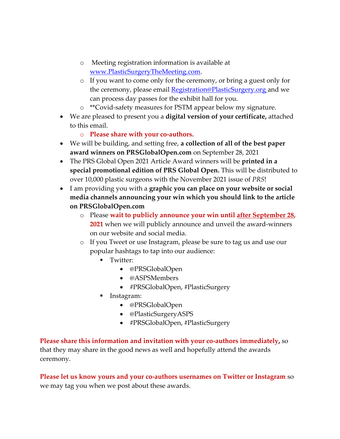- o Meeting registration information is available at [www.PlasticSurgeryTheMeeting.com.](http://www.plasticsurgerythemeeting.com/)
- o If you want to come only for the ceremony, or bring a guest only for the ceremony, please email **Registration@PlasticSurgery.org** and we can process day passes for the exhibit hall for you.
- o \*\*Covid-safety measures for PSTM appear below my signature.
- We are pleased to present you a **digital version of your certificate,** attached to this email.
	- o **Please share with your co-authors.**
- We will be building, and setting free, **a collection of all of the best paper award winners on PRSGlobalOpen.com** on September 28, 2021
- The PRS Global Open 2021 Article Award winners will be **printed in a special promotional edition of PRS Global Open.** This will be distributed to over 10,000 plastic surgeons with the November 2021 issue of *PRS*!
- I am providing you with a **graphic you can place on your website or social media channels announcing your win which you should link to the article on PRSGlobalOpen.com**
	- o Please **wait to publicly announce your win until after September 28, 2021** when we will publicly announce and unveil the award-winners on our website and social media.
	- o If you Tweet or use Instagram, please be sure to tag us and use our popular hashtags to tap into our audience:
		- Twitter:
			- @PRSGlobalOpen
			- @ASPSMembers
			- #PRSGlobalOpen, #PlasticSurgery
		- Instagram:
			- @PRSGlobalOpen
			- @PlasticSurgeryASPS
			- #PRSGlobalOpen, #PlasticSurgery

**Please share this information and invitation with your co-authors immediately,** so that they may share in the good news as well and hopefully attend the awards ceremony.

**Please let us know yours and your co-authors usernames on Twitter or Instagram** so we may tag you when we post about these awards.